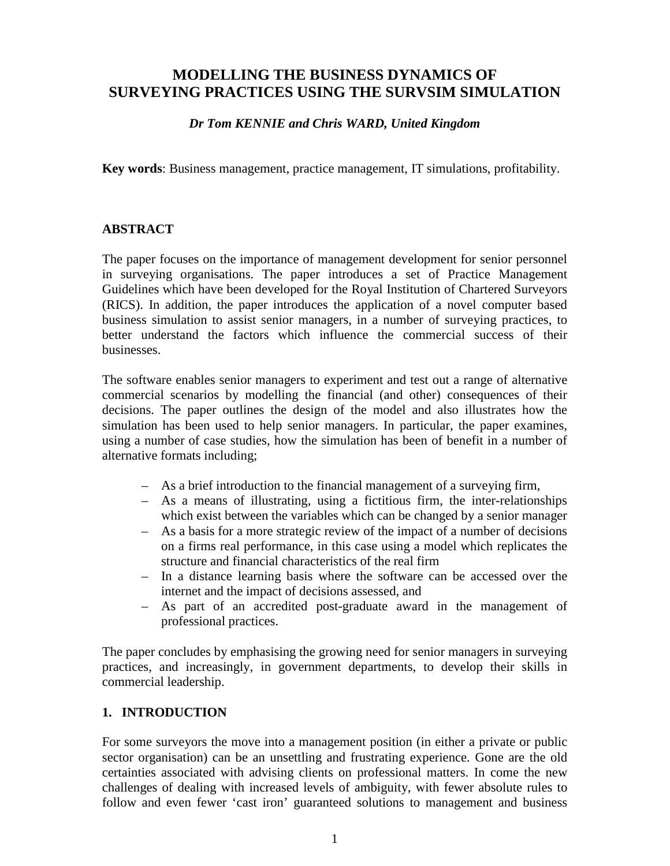# **MODELLING THE BUSINESS DYNAMICS OF SURVEYING PRACTICES USING THE SURVSIM SIMULATION**

### *Dr Tom KENNIE and Chris WARD, United Kingdom*

**Key words**: Business management, practice management, IT simulations, profitability.

#### **ABSTRACT**

The paper focuses on the importance of management development for senior personnel in surveying organisations. The paper introduces a set of Practice Management Guidelines which have been developed for the Royal Institution of Chartered Surveyors (RICS). In addition, the paper introduces the application of a novel computer based business simulation to assist senior managers, in a number of surveying practices, to better understand the factors which influence the commercial success of their businesses.

The software enables senior managers to experiment and test out a range of alternative commercial scenarios by modelling the financial (and other) consequences of their decisions. The paper outlines the design of the model and also illustrates how the simulation has been used to help senior managers. In particular, the paper examines, using a number of case studies, how the simulation has been of benefit in a number of alternative formats including;

- As a brief introduction to the financial management of a surveying firm,
- As a means of illustrating, using a fictitious firm, the inter-relationships which exist between the variables which can be changed by a senior manager
- As a basis for a more strategic review of the impact of a number of decisions on a firms real performance, in this case using a model which replicates the structure and financial characteristics of the real firm
- In a distance learning basis where the software can be accessed over the internet and the impact of decisions assessed, and
- As part of an accredited post-graduate award in the management of professional practices.

The paper concludes by emphasising the growing need for senior managers in surveying practices, and increasingly, in government departments, to develop their skills in commercial leadership.

### **1. INTRODUCTION**

For some surveyors the move into a management position (in either a private or public sector organisation) can be an unsettling and frustrating experience. Gone are the old certainties associated with advising clients on professional matters. In come the new challenges of dealing with increased levels of ambiguity, with fewer absolute rules to follow and even fewer 'cast iron' guaranteed solutions to management and business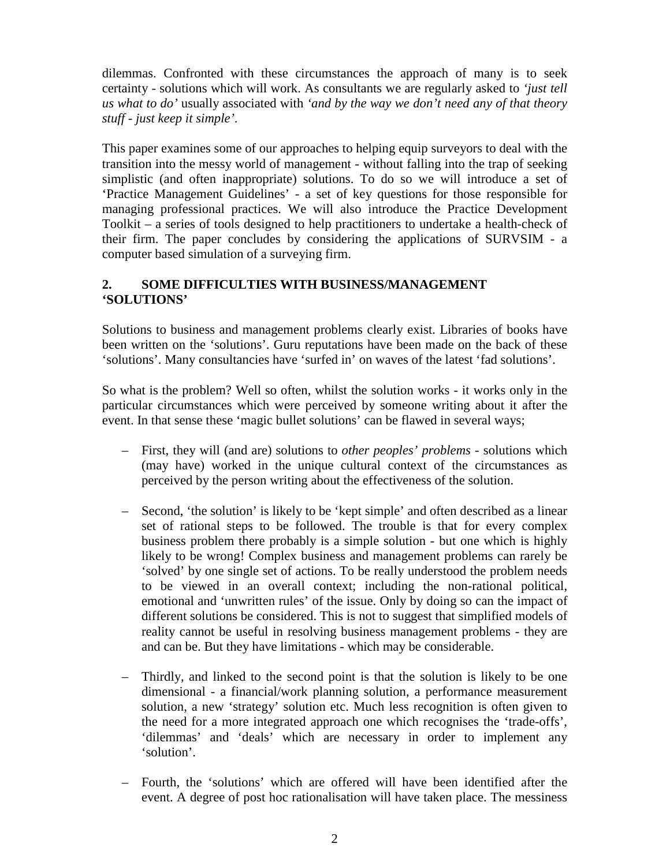dilemmas. Confronted with these circumstances the approach of many is to seek certainty - solutions which will work. As consultants we are regularly asked to *'just tell us what to do'* usually associated with *'and by the way we don't need any of that theory stuff - just keep it simple'*.

This paper examines some of our approaches to helping equip surveyors to deal with the transition into the messy world of management - without falling into the trap of seeking simplistic (and often inappropriate) solutions. To do so we will introduce a set of 'Practice Management Guidelines' - a set of key questions for those responsible for managing professional practices. We will also introduce the Practice Development Toolkit – a series of tools designed to help practitioners to undertake a health-check of their firm. The paper concludes by considering the applications of SURVSIM - a computer based simulation of a surveying firm.

## **2. SOME DIFFICULTIES WITH BUSINESS/MANAGEMENT 'SOLUTIONS'**

Solutions to business and management problems clearly exist. Libraries of books have been written on the 'solutions'. Guru reputations have been made on the back of these 'solutions'. Many consultancies have 'surfed in' on waves of the latest 'fad solutions'.

So what is the problem? Well so often, whilst the solution works - it works only in the particular circumstances which were perceived by someone writing about it after the event. In that sense these 'magic bullet solutions' can be flawed in several ways;

- First, they will (and are) solutions to *other peoples' problems* solutions which (may have) worked in the unique cultural context of the circumstances as perceived by the person writing about the effectiveness of the solution.
- Second, 'the solution' is likely to be 'kept simple' and often described as a linear set of rational steps to be followed. The trouble is that for every complex business problem there probably is a simple solution - but one which is highly likely to be wrong! Complex business and management problems can rarely be 'solved' by one single set of actions. To be really understood the problem needs to be viewed in an overall context; including the non-rational political, emotional and 'unwritten rules' of the issue. Only by doing so can the impact of different solutions be considered. This is not to suggest that simplified models of reality cannot be useful in resolving business management problems - they are and can be. But they have limitations - which may be considerable.
- Thirdly, and linked to the second point is that the solution is likely to be one dimensional - a financial/work planning solution, a performance measurement solution, a new 'strategy' solution etc. Much less recognition is often given to the need for a more integrated approach one which recognises the 'trade-offs', 'dilemmas' and 'deals' which are necessary in order to implement any 'solution'.
- Fourth, the 'solutions' which are offered will have been identified after the event. A degree of post hoc rationalisation will have taken place. The messiness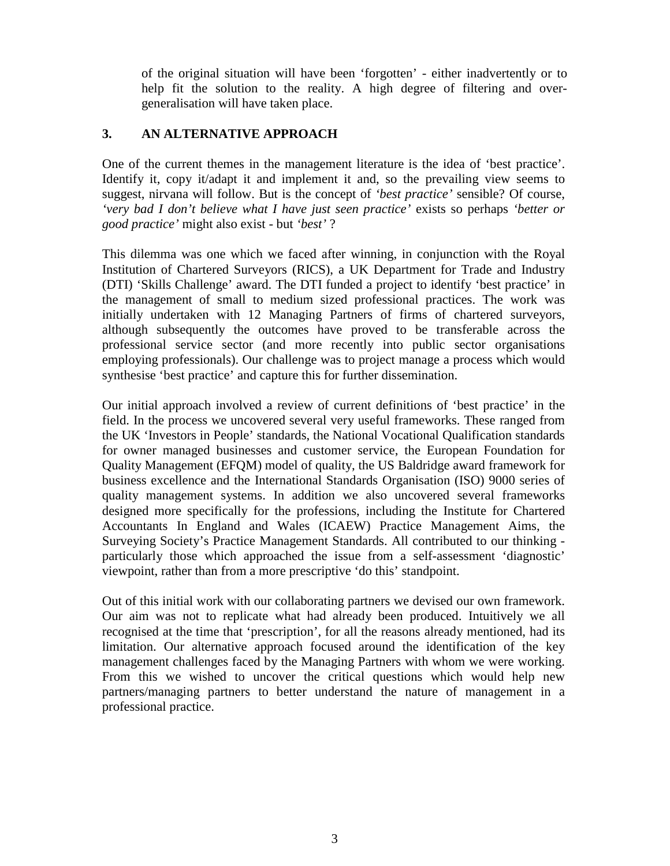of the original situation will have been 'forgotten' - either inadvertently or to help fit the solution to the reality. A high degree of filtering and overgeneralisation will have taken place.

### **3. AN ALTERNATIVE APPROACH**

One of the current themes in the management literature is the idea of 'best practice'. Identify it, copy it/adapt it and implement it and, so the prevailing view seems to suggest, nirvana will follow. But is the concept of *'best practice'* sensible? Of course, *'very bad I don't believe what I have just seen practice'* exists so perhaps *'better or good practice'* might also exist - but *'best'* ?

This dilemma was one which we faced after winning, in conjunction with the Royal Institution of Chartered Surveyors (RICS), a UK Department for Trade and Industry (DTI) 'Skills Challenge' award. The DTI funded a project to identify 'best practice' in the management of small to medium sized professional practices. The work was initially undertaken with 12 Managing Partners of firms of chartered surveyors, although subsequently the outcomes have proved to be transferable across the professional service sector (and more recently into public sector organisations employing professionals). Our challenge was to project manage a process which would synthesise 'best practice' and capture this for further dissemination.

Our initial approach involved a review of current definitions of 'best practice' in the field. In the process we uncovered several very useful frameworks. These ranged from the UK 'Investors in People' standards, the National Vocational Qualification standards for owner managed businesses and customer service, the European Foundation for Quality Management (EFQM) model of quality, the US Baldridge award framework for business excellence and the International Standards Organisation (ISO) 9000 series of quality management systems. In addition we also uncovered several frameworks designed more specifically for the professions, including the Institute for Chartered Accountants In England and Wales (ICAEW) Practice Management Aims, the Surveying Society's Practice Management Standards. All contributed to our thinking particularly those which approached the issue from a self-assessment 'diagnostic' viewpoint, rather than from a more prescriptive 'do this' standpoint.

Out of this initial work with our collaborating partners we devised our own framework. Our aim was not to replicate what had already been produced. Intuitively we all recognised at the time that 'prescription', for all the reasons already mentioned, had its limitation. Our alternative approach focused around the identification of the key management challenges faced by the Managing Partners with whom we were working. From this we wished to uncover the critical questions which would help new partners/managing partners to better understand the nature of management in a professional practice.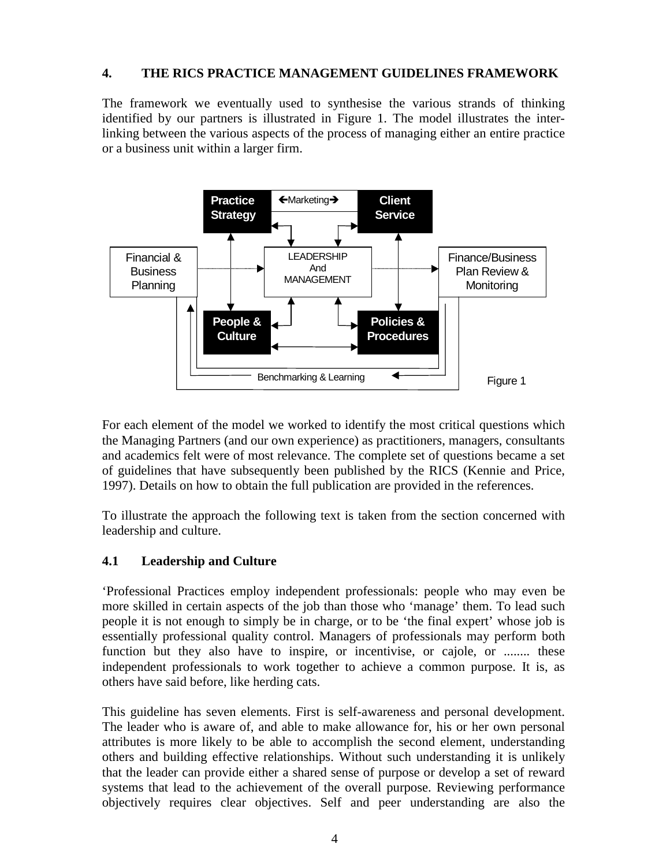#### **4. THE RICS PRACTICE MANAGEMENT GUIDELINES FRAMEWORK**

The framework we eventually used to synthesise the various strands of thinking identified by our partners is illustrated in Figure 1. The model illustrates the interlinking between the various aspects of the process of managing either an entire practice or a business unit within a larger firm.



For each element of the model we worked to identify the most critical questions which the Managing Partners (and our own experience) as practitioners, managers, consultants and academics felt were of most relevance. The complete set of questions became a set of guidelines that have subsequently been published by the RICS (Kennie and Price, 1997). Details on how to obtain the full publication are provided in the references.

To illustrate the approach the following text is taken from the section concerned with leadership and culture.

## **4.1 Leadership and Culture**

'Professional Practices employ independent professionals: people who may even be more skilled in certain aspects of the job than those who 'manage' them. To lead such people it is not enough to simply be in charge, or to be 'the final expert' whose job is essentially professional quality control. Managers of professionals may perform both function but they also have to inspire, or incentivise, or cajole, or ........ these independent professionals to work together to achieve a common purpose. It is, as others have said before, like herding cats.

This guideline has seven elements. First is self-awareness and personal development. The leader who is aware of, and able to make allowance for, his or her own personal attributes is more likely to be able to accomplish the second element, understanding others and building effective relationships. Without such understanding it is unlikely that the leader can provide either a shared sense of purpose or develop a set of reward systems that lead to the achievement of the overall purpose. Reviewing performance objectively requires clear objectives. Self and peer understanding are also the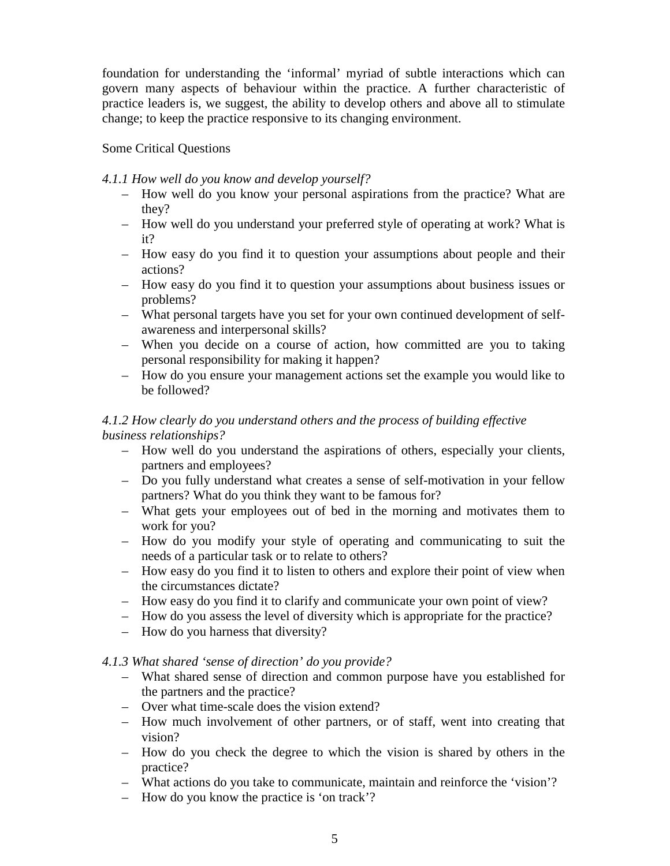foundation for understanding the 'informal' myriad of subtle interactions which can govern many aspects of behaviour within the practice. A further characteristic of practice leaders is, we suggest, the ability to develop others and above all to stimulate change; to keep the practice responsive to its changing environment.

## Some Critical Questions

### *4.1.1 How well do you know and develop yourself?*

- How well do you know your personal aspirations from the practice? What are they?
- How well do you understand your preferred style of operating at work? What is it?
- How easy do you find it to question your assumptions about people and their actions?
- How easy do you find it to question your assumptions about business issues or problems?
- What personal targets have you set for your own continued development of selfawareness and interpersonal skills?
- When you decide on a course of action, how committed are you to taking personal responsibility for making it happen?
- How do you ensure your management actions set the example you would like to be followed?

### *4.1.2 How clearly do you understand others and the process of building effective business relationships?*

- How well do you understand the aspirations of others, especially your clients, partners and employees?
- Do you fully understand what creates a sense of self-motivation in your fellow partners? What do you think they want to be famous for?
- What gets your employees out of bed in the morning and motivates them to work for you?
- How do you modify your style of operating and communicating to suit the needs of a particular task or to relate to others?
- How easy do you find it to listen to others and explore their point of view when the circumstances dictate?
- How easy do you find it to clarify and communicate your own point of view?
- How do you assess the level of diversity which is appropriate for the practice?
- How do you harness that diversity?

## *4.1.3 What shared 'sense of direction' do you provide?*

- What shared sense of direction and common purpose have you established for the partners and the practice?
- Over what time-scale does the vision extend?
- How much involvement of other partners, or of staff, went into creating that vision?
- How do you check the degree to which the vision is shared by others in the practice?
- What actions do you take to communicate, maintain and reinforce the 'vision'?
- How do you know the practice is 'on track'?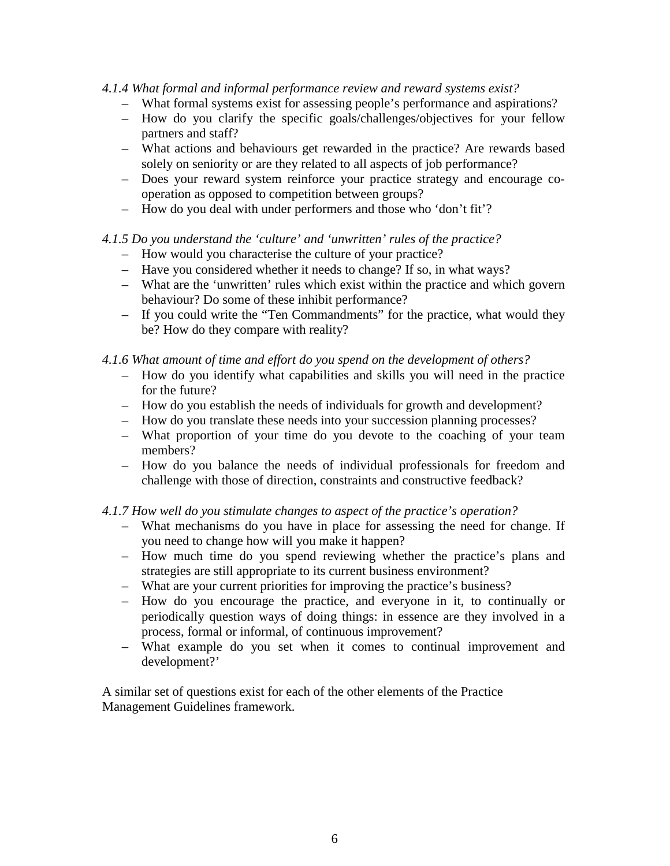#### *4.1.4 What formal and informal performance review and reward systems exist?*

- What formal systems exist for assessing people's performance and aspirations?
- How do you clarify the specific goals/challenges/objectives for your fellow partners and staff?
- What actions and behaviours get rewarded in the practice? Are rewards based solely on seniority or are they related to all aspects of job performance?
- Does your reward system reinforce your practice strategy and encourage cooperation as opposed to competition between groups?
- How do you deal with under performers and those who 'don't fit'?

### *4.1.5 Do you understand the 'culture' and 'unwritten' rules of the practice?*

- How would you characterise the culture of your practice?
- Have you considered whether it needs to change? If so, in what ways?
- What are the 'unwritten' rules which exist within the practice and which govern behaviour? Do some of these inhibit performance?
- If you could write the "Ten Commandments" for the practice, what would they be? How do they compare with reality?

#### *4.1.6 What amount of time and effort do you spend on the development of others?*

- How do you identify what capabilities and skills you will need in the practice for the future?
- How do you establish the needs of individuals for growth and development?
- How do you translate these needs into your succession planning processes?
- What proportion of your time do you devote to the coaching of your team members?
- How do you balance the needs of individual professionals for freedom and challenge with those of direction, constraints and constructive feedback?

#### *4.1.7 How well do you stimulate changes to aspect of the practice's operation?*

- What mechanisms do you have in place for assessing the need for change. If you need to change how will you make it happen?
- How much time do you spend reviewing whether the practice's plans and strategies are still appropriate to its current business environment?
- What are your current priorities for improving the practice's business?
- How do you encourage the practice, and everyone in it, to continually or periodically question ways of doing things: in essence are they involved in a process, formal or informal, of continuous improvement?
- What example do you set when it comes to continual improvement and development?'

A similar set of questions exist for each of the other elements of the Practice Management Guidelines framework.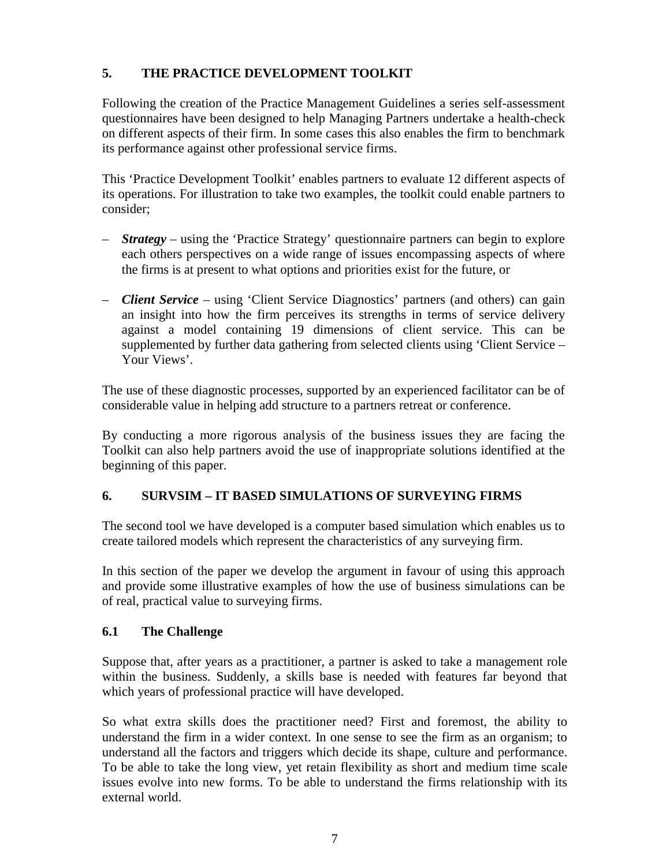## **5. THE PRACTICE DEVELOPMENT TOOLKIT**

Following the creation of the Practice Management Guidelines a series self-assessment questionnaires have been designed to help Managing Partners undertake a health-check on different aspects of their firm. In some cases this also enables the firm to benchmark its performance against other professional service firms.

This 'Practice Development Toolkit' enables partners to evaluate 12 different aspects of its operations. For illustration to take two examples, the toolkit could enable partners to consider;

- *Strategy –* using the 'Practice Strategy' questionnaire partners can begin to explore each others perspectives on a wide range of issues encompassing aspects of where the firms is at present to what options and priorities exist for the future, or
- *Client Service* using 'Client Service Diagnostics' partners (and others) can gain an insight into how the firm perceives its strengths in terms of service delivery against a model containing 19 dimensions of client service. This can be supplemented by further data gathering from selected clients using 'Client Service – Your Views'.

The use of these diagnostic processes, supported by an experienced facilitator can be of considerable value in helping add structure to a partners retreat or conference.

By conducting a more rigorous analysis of the business issues they are facing the Toolkit can also help partners avoid the use of inappropriate solutions identified at the beginning of this paper.

## **6. SURVSIM – IT BASED SIMULATIONS OF SURVEYING FIRMS**

The second tool we have developed is a computer based simulation which enables us to create tailored models which represent the characteristics of any surveying firm.

In this section of the paper we develop the argument in favour of using this approach and provide some illustrative examples of how the use of business simulations can be of real, practical value to surveying firms.

## **6.1 The Challenge**

Suppose that, after years as a practitioner, a partner is asked to take a management role within the business. Suddenly, a skills base is needed with features far beyond that which years of professional practice will have developed.

So what extra skills does the practitioner need? First and foremost, the ability to understand the firm in a wider context. In one sense to see the firm as an organism; to understand all the factors and triggers which decide its shape, culture and performance. To be able to take the long view, yet retain flexibility as short and medium time scale issues evolve into new forms. To be able to understand the firms relationship with its external world.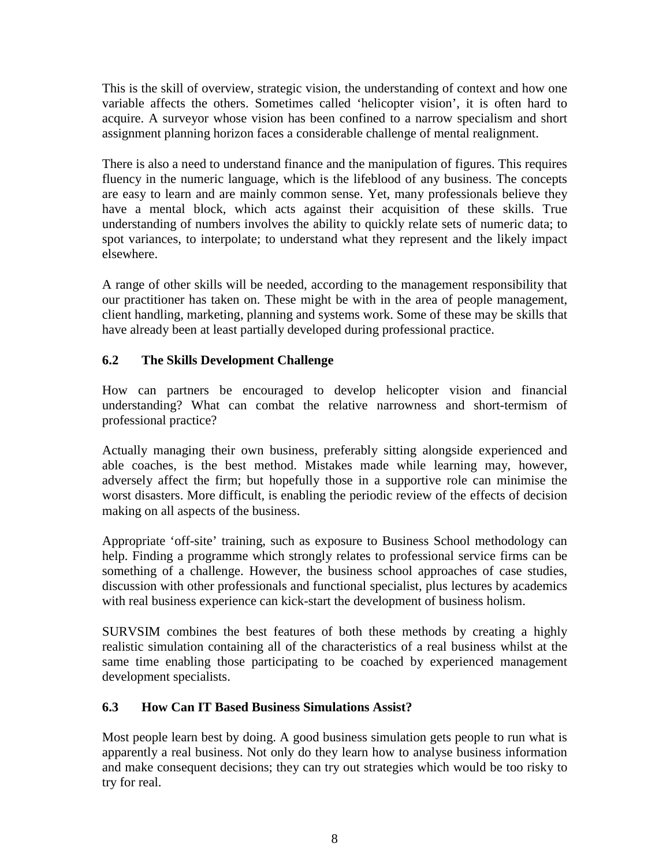This is the skill of overview, strategic vision, the understanding of context and how one variable affects the others. Sometimes called 'helicopter vision', it is often hard to acquire. A surveyor whose vision has been confined to a narrow specialism and short assignment planning horizon faces a considerable challenge of mental realignment.

There is also a need to understand finance and the manipulation of figures. This requires fluency in the numeric language, which is the lifeblood of any business. The concepts are easy to learn and are mainly common sense. Yet, many professionals believe they have a mental block, which acts against their acquisition of these skills. True understanding of numbers involves the ability to quickly relate sets of numeric data; to spot variances, to interpolate; to understand what they represent and the likely impact elsewhere.

A range of other skills will be needed, according to the management responsibility that our practitioner has taken on. These might be with in the area of people management, client handling, marketing, planning and systems work. Some of these may be skills that have already been at least partially developed during professional practice.

## **6.2 The Skills Development Challenge**

How can partners be encouraged to develop helicopter vision and financial understanding? What can combat the relative narrowness and short-termism of professional practice?

Actually managing their own business, preferably sitting alongside experienced and able coaches, is the best method. Mistakes made while learning may, however, adversely affect the firm; but hopefully those in a supportive role can minimise the worst disasters. More difficult, is enabling the periodic review of the effects of decision making on all aspects of the business.

Appropriate 'off-site' training, such as exposure to Business School methodology can help. Finding a programme which strongly relates to professional service firms can be something of a challenge. However, the business school approaches of case studies, discussion with other professionals and functional specialist, plus lectures by academics with real business experience can kick-start the development of business holism.

SURVSIM combines the best features of both these methods by creating a highly realistic simulation containing all of the characteristics of a real business whilst at the same time enabling those participating to be coached by experienced management development specialists.

## **6.3 How Can IT Based Business Simulations Assist?**

Most people learn best by doing. A good business simulation gets people to run what is apparently a real business. Not only do they learn how to analyse business information and make consequent decisions; they can try out strategies which would be too risky to try for real.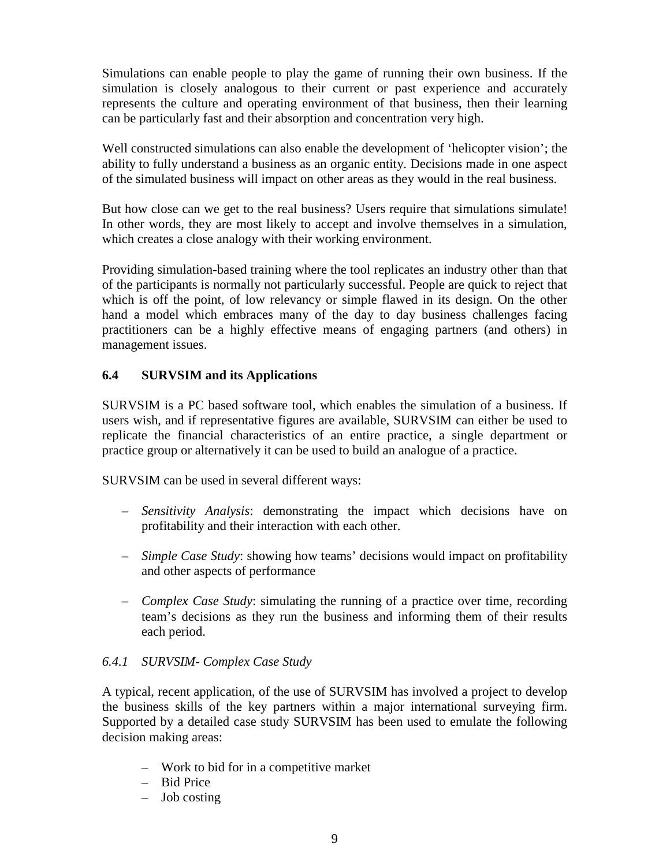Simulations can enable people to play the game of running their own business. If the simulation is closely analogous to their current or past experience and accurately represents the culture and operating environment of that business, then their learning can be particularly fast and their absorption and concentration very high.

Well constructed simulations can also enable the development of 'helicopter vision'; the ability to fully understand a business as an organic entity. Decisions made in one aspect of the simulated business will impact on other areas as they would in the real business.

But how close can we get to the real business? Users require that simulations simulate! In other words, they are most likely to accept and involve themselves in a simulation, which creates a close analogy with their working environment.

Providing simulation-based training where the tool replicates an industry other than that of the participants is normally not particularly successful. People are quick to reject that which is off the point, of low relevancy or simple flawed in its design. On the other hand a model which embraces many of the day to day business challenges facing practitioners can be a highly effective means of engaging partners (and others) in management issues.

## **6.4 SURVSIM and its Applications**

SURVSIM is a PC based software tool, which enables the simulation of a business. If users wish, and if representative figures are available, SURVSIM can either be used to replicate the financial characteristics of an entire practice, a single department or practice group or alternatively it can be used to build an analogue of a practice.

SURVSIM can be used in several different ways:

- *Sensitivity Analysis*: demonstrating the impact which decisions have on profitability and their interaction with each other.
- *Simple Case Study*: showing how teams' decisions would impact on profitability and other aspects of performance
- *Complex Case Study*: simulating the running of a practice over time, recording team's decisions as they run the business and informing them of their results each period.

## *6.4.1 SURVSIM- Complex Case Study*

A typical, recent application, of the use of SURVSIM has involved a project to develop the business skills of the key partners within a major international surveying firm. Supported by a detailed case study SURVSIM has been used to emulate the following decision making areas:

- Work to bid for in a competitive market
- Bid Price
- Job costing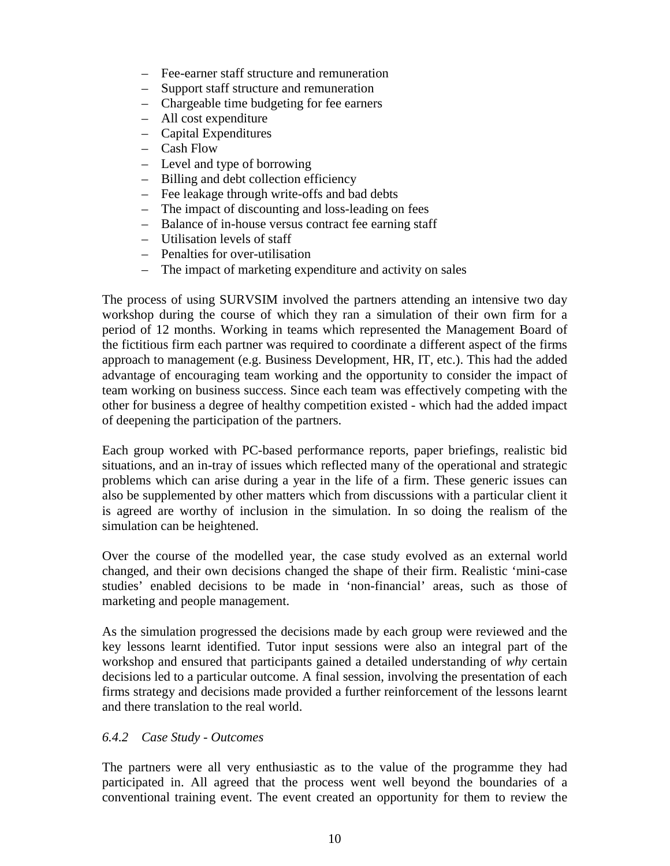- Fee-earner staff structure and remuneration
- Support staff structure and remuneration
- Chargeable time budgeting for fee earners
- All cost expenditure
- Capital Expenditures
- Cash Flow
- Level and type of borrowing
- Billing and debt collection efficiency
- Fee leakage through write-offs and bad debts
- The impact of discounting and loss-leading on fees
- Balance of in-house versus contract fee earning staff
- Utilisation levels of staff
- Penalties for over-utilisation
- The impact of marketing expenditure and activity on sales

The process of using SURVSIM involved the partners attending an intensive two day workshop during the course of which they ran a simulation of their own firm for a period of 12 months. Working in teams which represented the Management Board of the fictitious firm each partner was required to coordinate a different aspect of the firms approach to management (e.g. Business Development, HR, IT, etc.). This had the added advantage of encouraging team working and the opportunity to consider the impact of team working on business success. Since each team was effectively competing with the other for business a degree of healthy competition existed - which had the added impact of deepening the participation of the partners.

Each group worked with PC-based performance reports, paper briefings, realistic bid situations, and an in-tray of issues which reflected many of the operational and strategic problems which can arise during a year in the life of a firm. These generic issues can also be supplemented by other matters which from discussions with a particular client it is agreed are worthy of inclusion in the simulation. In so doing the realism of the simulation can be heightened.

Over the course of the modelled year, the case study evolved as an external world changed, and their own decisions changed the shape of their firm. Realistic 'mini-case studies' enabled decisions to be made in 'non-financial' areas, such as those of marketing and people management.

As the simulation progressed the decisions made by each group were reviewed and the key lessons learnt identified. Tutor input sessions were also an integral part of the workshop and ensured that participants gained a detailed understanding of *why* certain decisions led to a particular outcome. A final session, involving the presentation of each firms strategy and decisions made provided a further reinforcement of the lessons learnt and there translation to the real world.

#### *6.4.2 Case Study - Outcomes*

The partners were all very enthusiastic as to the value of the programme they had participated in. All agreed that the process went well beyond the boundaries of a conventional training event. The event created an opportunity for them to review the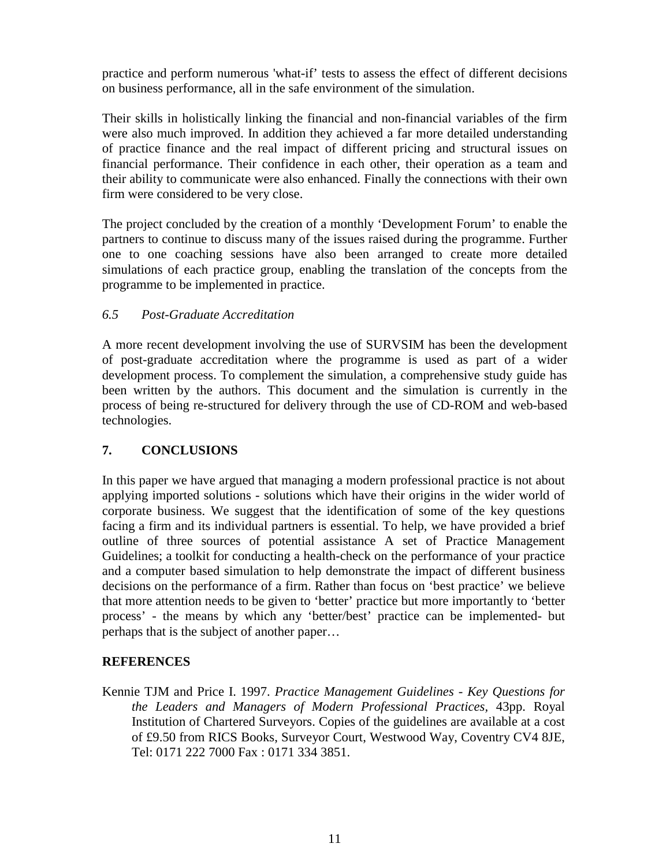practice and perform numerous 'what-if' tests to assess the effect of different decisions on business performance, all in the safe environment of the simulation.

Their skills in holistically linking the financial and non-financial variables of the firm were also much improved. In addition they achieved a far more detailed understanding of practice finance and the real impact of different pricing and structural issues on financial performance. Their confidence in each other, their operation as a team and their ability to communicate were also enhanced. Finally the connections with their own firm were considered to be very close.

The project concluded by the creation of a monthly 'Development Forum' to enable the partners to continue to discuss many of the issues raised during the programme. Further one to one coaching sessions have also been arranged to create more detailed simulations of each practice group, enabling the translation of the concepts from the programme to be implemented in practice.

## *6.5 Post-Graduate Accreditation*

A more recent development involving the use of SURVSIM has been the development of post-graduate accreditation where the programme is used as part of a wider development process. To complement the simulation, a comprehensive study guide has been written by the authors. This document and the simulation is currently in the process of being re-structured for delivery through the use of CD-ROM and web-based technologies.

## **7. CONCLUSIONS**

In this paper we have argued that managing a modern professional practice is not about applying imported solutions - solutions which have their origins in the wider world of corporate business. We suggest that the identification of some of the key questions facing a firm and its individual partners is essential. To help, we have provided a brief outline of three sources of potential assistance A set of Practice Management Guidelines; a toolkit for conducting a health-check on the performance of your practice and a computer based simulation to help demonstrate the impact of different business decisions on the performance of a firm. Rather than focus on 'best practice' we believe that more attention needs to be given to 'better' practice but more importantly to 'better process' - the means by which any 'better/best' practice can be implemented- but perhaps that is the subject of another paper…

## **REFERENCES**

Kennie TJM and Price I. 1997. *Practice Management Guidelines - Key Questions for the Leaders and Managers of Modern Professional Practices,* 43pp. Royal Institution of Chartered Surveyors. Copies of the guidelines are available at a cost of £9.50 from RICS Books, Surveyor Court, Westwood Way, Coventry CV4 8JE, Tel: 0171 222 7000 Fax : 0171 334 3851.